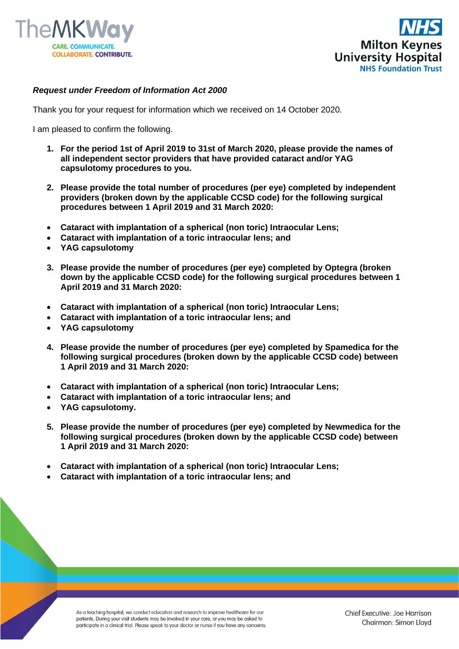



## *Request under Freedom of Information Act 2000*

Thank you for your request for information which we received on 14 October 2020.

I am pleased to confirm the following.

- **1. For the period 1st of April 2019 to 31st of March 2020, please provide the names of all independent sector providers that have provided cataract and/or YAG capsulotomy procedures to you.**
- **2. Please provide the total number of procedures (per eye) completed by independent providers (broken down by the applicable CCSD code) for the following surgical procedures between 1 April 2019 and 31 March 2020:**
- **Cataract with implantation of a spherical (non toric) Intraocular Lens;**
- **Cataract with implantation of a toric intraocular lens; and**
- **YAG capsulotomy**
- **3. Please provide the number of procedures (per eye) completed by Optegra (broken down by the applicable CCSD code) for the following surgical procedures between 1 April 2019 and 31 March 2020:**
- **Cataract with implantation of a spherical (non toric) Intraocular Lens;**
- **Cataract with implantation of a toric intraocular lens; and**
- **YAG capsulotomy**
- **4. Please provide the number of procedures (per eye) completed by Spamedica for the following surgical procedures (broken down by the applicable CCSD code) between 1 April 2019 and 31 March 2020:**
- **Cataract with implantation of a spherical (non toric) Intraocular Lens;**
- **Cataract with implantation of a toric intraocular lens; and**
- **YAG capsulotomy.**
- **5. Please provide the number of procedures (per eye) completed by Newmedica for the following surgical procedures (broken down by the applicable CCSD code) between 1 April 2019 and 31 March 2020:**
- **Cataract with implantation of a spherical (non toric) Intraocular Lens;**
- **Cataract with implantation of a toric intraocular lens; and**

As a teaching hospital, we conduct education and research to improve healthcare for our patients. During your visit students may be involved in your care, or you may be asked to participate in a clinical trial. Please speak to your doctor or nurse if you have any concerns.